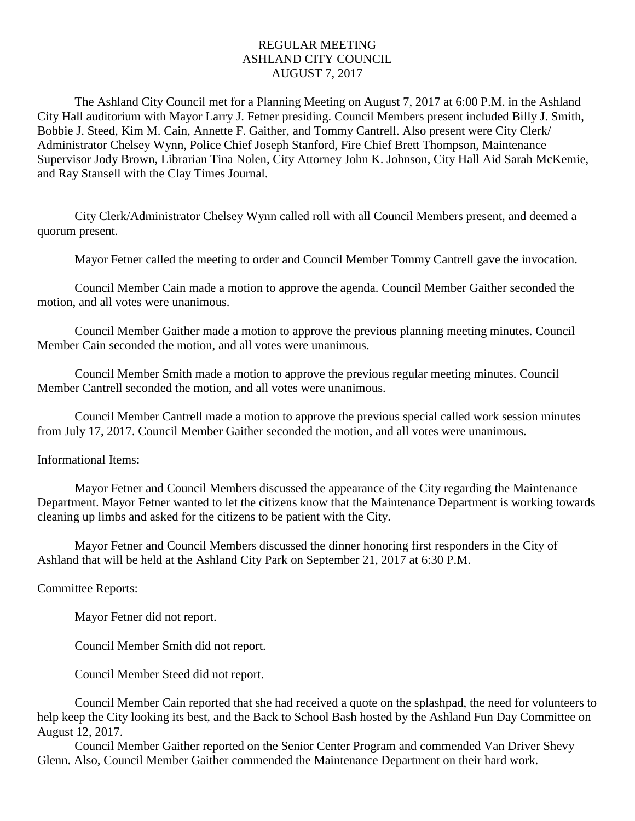## REGULAR MEETING ASHLAND CITY COUNCIL AUGUST 7, 2017

The Ashland City Council met for a Planning Meeting on August 7, 2017 at 6:00 P.M. in the Ashland City Hall auditorium with Mayor Larry J. Fetner presiding. Council Members present included Billy J. Smith, Bobbie J. Steed, Kim M. Cain, Annette F. Gaither, and Tommy Cantrell. Also present were City Clerk/ Administrator Chelsey Wynn, Police Chief Joseph Stanford, Fire Chief Brett Thompson, Maintenance Supervisor Jody Brown, Librarian Tina Nolen, City Attorney John K. Johnson, City Hall Aid Sarah McKemie, and Ray Stansell with the Clay Times Journal.

City Clerk/Administrator Chelsey Wynn called roll with all Council Members present, and deemed a quorum present.

Mayor Fetner called the meeting to order and Council Member Tommy Cantrell gave the invocation.

Council Member Cain made a motion to approve the agenda. Council Member Gaither seconded the motion, and all votes were unanimous.

Council Member Gaither made a motion to approve the previous planning meeting minutes. Council Member Cain seconded the motion, and all votes were unanimous.

Council Member Smith made a motion to approve the previous regular meeting minutes. Council Member Cantrell seconded the motion, and all votes were unanimous.

Council Member Cantrell made a motion to approve the previous special called work session minutes from July 17, 2017. Council Member Gaither seconded the motion, and all votes were unanimous.

## Informational Items:

Mayor Fetner and Council Members discussed the appearance of the City regarding the Maintenance Department. Mayor Fetner wanted to let the citizens know that the Maintenance Department is working towards cleaning up limbs and asked for the citizens to be patient with the City.

Mayor Fetner and Council Members discussed the dinner honoring first responders in the City of Ashland that will be held at the Ashland City Park on September 21, 2017 at 6:30 P.M.

## Committee Reports:

Mayor Fetner did not report.

Council Member Smith did not report.

Council Member Steed did not report.

Council Member Cain reported that she had received a quote on the splashpad, the need for volunteers to help keep the City looking its best, and the Back to School Bash hosted by the Ashland Fun Day Committee on August 12, 2017.

Council Member Gaither reported on the Senior Center Program and commended Van Driver Shevy Glenn. Also, Council Member Gaither commended the Maintenance Department on their hard work.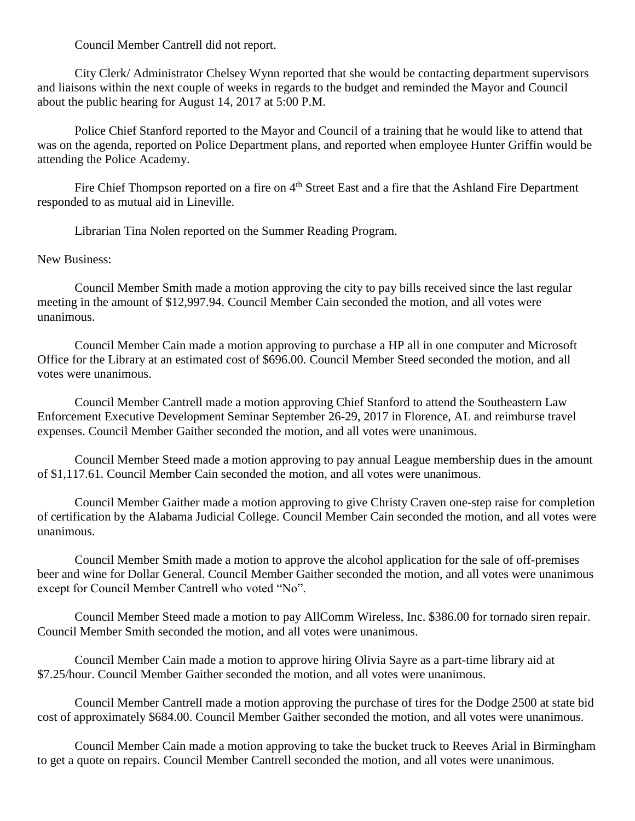Council Member Cantrell did not report.

City Clerk/ Administrator Chelsey Wynn reported that she would be contacting department supervisors and liaisons within the next couple of weeks in regards to the budget and reminded the Mayor and Council about the public hearing for August 14, 2017 at 5:00 P.M.

Police Chief Stanford reported to the Mayor and Council of a training that he would like to attend that was on the agenda, reported on Police Department plans, and reported when employee Hunter Griffin would be attending the Police Academy.

Fire Chief Thompson reported on a fire on 4<sup>th</sup> Street East and a fire that the Ashland Fire Department responded to as mutual aid in Lineville.

Librarian Tina Nolen reported on the Summer Reading Program.

New Business:

Council Member Smith made a motion approving the city to pay bills received since the last regular meeting in the amount of \$12,997.94. Council Member Cain seconded the motion, and all votes were unanimous.

Council Member Cain made a motion approving to purchase a HP all in one computer and Microsoft Office for the Library at an estimated cost of \$696.00. Council Member Steed seconded the motion, and all votes were unanimous.

Council Member Cantrell made a motion approving Chief Stanford to attend the Southeastern Law Enforcement Executive Development Seminar September 26-29, 2017 in Florence, AL and reimburse travel expenses. Council Member Gaither seconded the motion, and all votes were unanimous.

Council Member Steed made a motion approving to pay annual League membership dues in the amount of \$1,117.61. Council Member Cain seconded the motion, and all votes were unanimous.

Council Member Gaither made a motion approving to give Christy Craven one-step raise for completion of certification by the Alabama Judicial College. Council Member Cain seconded the motion, and all votes were unanimous.

Council Member Smith made a motion to approve the alcohol application for the sale of off-premises beer and wine for Dollar General. Council Member Gaither seconded the motion, and all votes were unanimous except for Council Member Cantrell who voted "No".

Council Member Steed made a motion to pay AllComm Wireless, Inc. \$386.00 for tornado siren repair. Council Member Smith seconded the motion, and all votes were unanimous.

Council Member Cain made a motion to approve hiring Olivia Sayre as a part-time library aid at \$7.25/hour. Council Member Gaither seconded the motion, and all votes were unanimous.

Council Member Cantrell made a motion approving the purchase of tires for the Dodge 2500 at state bid cost of approximately \$684.00. Council Member Gaither seconded the motion, and all votes were unanimous.

Council Member Cain made a motion approving to take the bucket truck to Reeves Arial in Birmingham to get a quote on repairs. Council Member Cantrell seconded the motion, and all votes were unanimous.